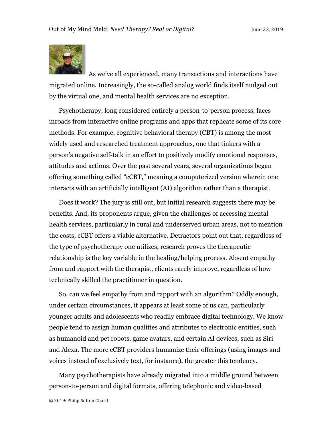

As we've all experienced, many transactions and interactions have migrated online. Increasingly, the so-called analog world finds itself nudged out by the virtual one, and mental health services are no exception.

Psychotherapy, long considered entirely a person-to-person process, faces inroads from interactive online programs and apps that replicate some of its core methods. For example, cognitive behavioral therapy (CBT) is among the most widely used and researched treatment approaches, one that tinkers with a person's negative self-talk in an effort to positively modify emotional responses, attitudes and actions. Over the past several years, several organizations began offering something called "cCBT," meaning a computerized version wherein one interacts with an artificially intelligent (AI) algorithm rather than a therapist.

Does it work? The jury is still out, but initial research suggests there may be benefits. And, its proponents argue, given the challenges of accessing mental health services, particularly in rural and underserved urban areas, not to mention the costs, cCBT offers a viable alternative. Detractors point out that, regardless of the type of psychotherapy one utilizes, research proves the therapeutic relationship is the key variable in the healing/helping process. Absent empathy from and rapport with the therapist, clients rarely improve, regardless of how technically skilled the practitioner in question.

So, can we feel empathy from and rapport with an algorithm? Oddly enough, under certain circumstances, it appears at least some of us can, particularly younger adults and adolescents who readily embrace digital technology. We know people tend to assign human qualities and attributes to electronic entities, such as humanoid and pet robots, game avatars, and certain AI devices, such as Siri and Alexa. The more cCBT providers humanize their offerings (using images and voices instead of exclusively text, for instance), the greater this tendency.

Many psychotherapists have already migrated into a middle ground between person-to-person and digital formats, offering telephonic and video-based